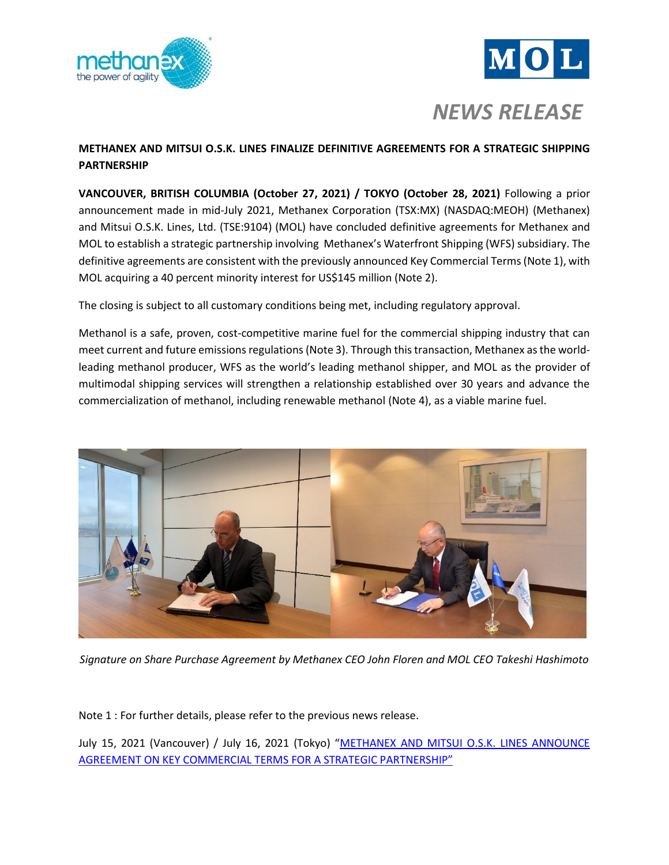



# *NEWS RELEASE*

## **METHANEX AND MITSUI O.S.K. LINES FINALIZE DEFINITIVE AGREEMENTS FOR A STRATEGIC SHIPPING PARTNERSHIP**

**VANCOUVER, BRITISH COLUMBIA (October 27, 2021) / TOKYO (October 28, 2021)** Following a prior announcement made in mid-July 2021, Methanex Corporation (TSX:MX) (NASDAQ:MEOH) (Methanex) and Mitsui O.S.K. Lines, Ltd. (TSE:9104) (MOL) have concluded definitive agreements for Methanex and MOL to establish a strategic partnership involving Methanex's Waterfront Shipping (WFS) subsidiary. The definitive agreements are consistent with the previously announced Key Commercial Terms (Note 1), with MOL acquiring a 40 percent minority interest for US\$145 million (Note 2).

The closing is subject to all customary conditions being met, including regulatory approval.

Methanol is a safe, proven, cost-competitive marine fuel for the commercial shipping industry that can meet current and future emissions regulations (Note 3). Through this transaction, Methanex as the worldleading methanol producer, WFS as the world's leading methanol shipper, and MOL as the provider of multimodal shipping services will strengthen a relationship established over 30 years and advance the commercialization of methanol, including renewable methanol (Note 4), as a viable marine fuel.



*Signature on Share Purchase Agreement by Methanex CEO John Floren and MOL CEO Takeshi Hashimoto*

Note 1 : For further details, please refer to the previous news release.

July 15, 2021 (Vancouver) / July 16, 2021 (Tokyo) "METHANEX AND MITSUI O.S.K. LINES ANNOUNCE [AGREEMENT ON KEY COMMERCIAL TERMS](https://www.mol.co.jp/en/pr/2021/img/21059.pdf) FOR A STRATEGIC PARTNERSHIP"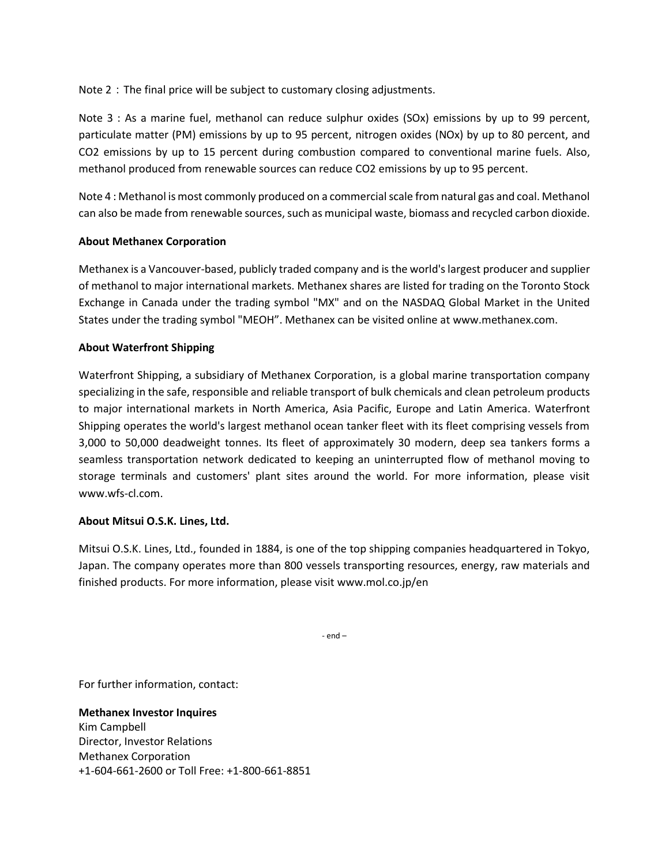Note 2: The final price will be subject to customary closing adjustments.

Note 3 : As a marine fuel, methanol can reduce sulphur oxides (SOx) emissions by up to 99 percent, particulate matter (PM) emissions by up to 95 percent, nitrogen oxides (NOx) by up to 80 percent, and CO2 emissions by up to 15 percent during combustion compared to conventional marine fuels. Also, methanol produced from renewable sources can reduce CO2 emissions by up to 95 percent.

Note 4 : Methanol is most commonly produced on a commercial scale from natural gas and coal. Methanol can also be made from renewable sources, such as municipal waste, biomass and recycled carbon dioxide.

#### **About Methanex Corporation**

Methanex is a Vancouver-based, publicly traded company and is the world's largest producer and supplier of methanol to major international markets. Methanex shares are listed for trading on the Toronto Stock Exchange in Canada under the trading symbol "MX" and on the NASDAQ Global Market in the United States under the trading symbol "MEOH". Methanex can be visited online at [www.methanex.com.](http://www.methanex.com/)

## **About Waterfront Shipping**

Waterfront Shipping, a subsidiary of Methanex Corporation, is a global marine transportation company specializing in the safe, responsible and reliable transport of bulk chemicals and clean petroleum products to major international markets in North America, Asia Pacific, Europe and Latin America. Waterfront Shipping operates the world's largest methanol ocean tanker fleet with its fleet comprising vessels from 3,000 to 50,000 deadweight tonnes. Its fleet of approximately 30 modern, deep sea tankers forms a seamless transportation network dedicated to keeping an uninterrupted flow of methanol moving to storage terminals and customers' plant sites around the world. For more information, please visit [www.wfs-cl.com.](https://urldefense.com/v3/__http:/www.wfs-cl.com/__;!!J8jBlt3-xA!abA6HDqt9kxiJ5YFB6pGAb1GQzm9W9J3B_DS-ggVamX2PZabq40EM4JiRihGT_NjPrRmOIo$)

#### **About Mitsui O.S.K. Lines, Ltd.**

Mitsui O.S.K. Lines, Ltd., founded in 1884, is one of the top shipping companies headquartered in Tokyo, Japan. The company operates more than 800 vessels transporting resources, energy, raw materials and finished products. For more information, please visi[t www.mol.co.jp/en](https://urldefense.com/v3/__http:/www.mol.co.jp/en__;!!J8jBlt3-xA!d4iOfelEHN8dhwt6UcTKWO4zEQtgjyPKxffXESDHA3JWW3R4FjJZzvzL0J3hjQu9DV-42qw$)

- end –

For further information, contact:

**Methanex Investor Inquires**  Kim Campbell Director, Investor Relations Methanex Corporation +1-604-661-2600 or Toll Free: +1-800-661-8851